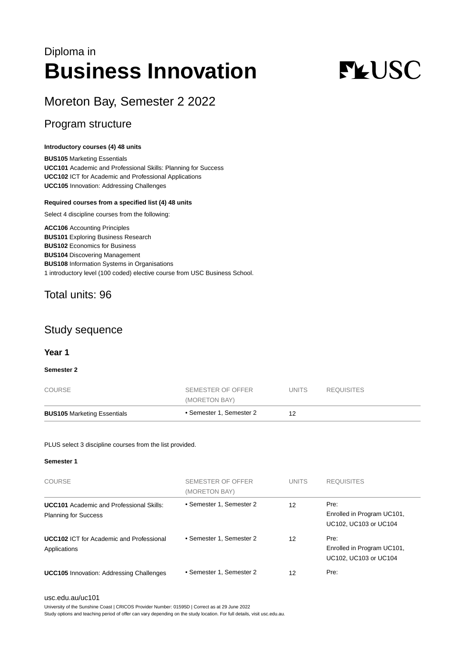## Diploma in **Business Innovation**

# **FLUSC**

## Moreton Bay, Semester 2 2022

## Program structure

#### **Introductory courses (4) 48 units**

**BUS105** Marketing Essentials **UCC101** Academic and Professional Skills: Planning for Success **UCC102** ICT for Academic and Professional Applications **UCC105** Innovation: Addressing Challenges

#### **Required courses from a specified list (4) 48 units**

Select 4 discipline courses from the following:

**ACC106** Accounting Principles **BUS101** Exploring Business Research **BUS102** Economics for Business **BUS104** Discovering Management **BUS108** Information Systems in Organisations 1 introductory level (100 coded) elective course from USC Business School.

## Total units: 96

### Study sequence

#### **Year 1**

#### **Semester 2**

| <b>BUS105 Marketing Essentials</b> | • Semester 1, Semester 2 | 12     |            |
|------------------------------------|--------------------------|--------|------------|
|                                    | (MORETON BAY)            |        |            |
| <b>COURSE</b>                      | SEMESTER OF OFFER        | UNITS. | REQUISITES |

#### PLUS select 3 discipline courses from the list provided.

#### **Semester 1**

| <b>COURSE</b>                                                                  | SEMESTER OF OFFER<br>(MORETON BAY) | <b>UNITS</b> | <b>REQUISITES</b>                                           |
|--------------------------------------------------------------------------------|------------------------------------|--------------|-------------------------------------------------------------|
| <b>UCC101</b> Academic and Professional Skills:<br><b>Planning for Success</b> | • Semester 1, Semester 2           | 12           | Pre:<br>Enrolled in Program UC101,<br>UC102, UC103 or UC104 |
| <b>UCC102 ICT for Academic and Professional</b><br>Applications                | • Semester 1, Semester 2           | 12           | Pre:<br>Enrolled in Program UC101,<br>UC102, UC103 or UC104 |
| <b>UCC105</b> Innovation: Addressing Challenges                                | • Semester 1, Semester 2           | 12           | Pre:                                                        |

#### [usc.edu.au/uc101](https://www.usc.edu.au/uc101)

University of the Sunshine Coast | CRICOS Provider Number: 01595D | Correct as at 29 June 2022

Study options and teaching period of offer can vary depending on the study location. For full details, visit usc.edu.au.